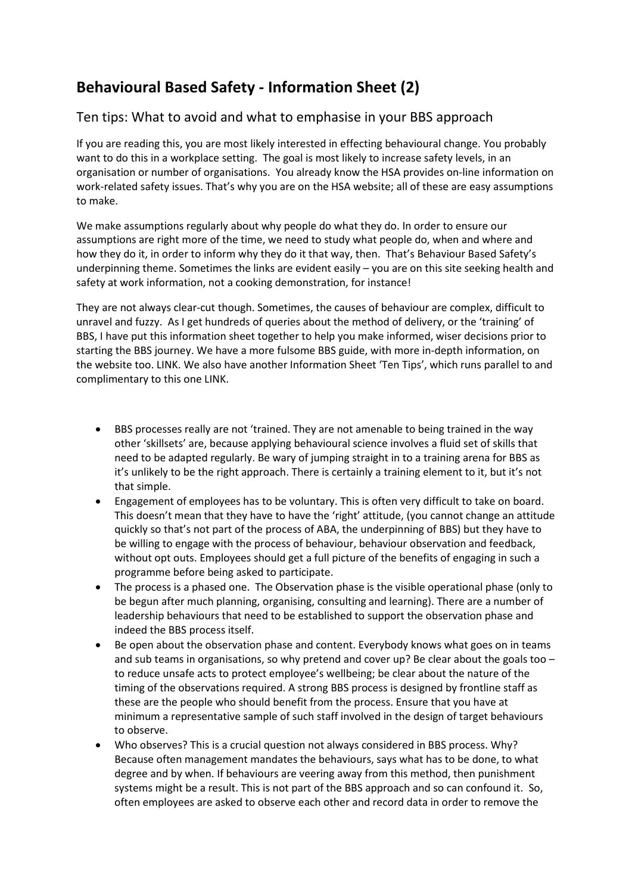## **Behavioural Based Safety - Information Sheet (2)**

## Ten tips: What to avoid and what to emphasise in your BBS approach

If you are reading this, you are most likely interested in effecting behavioural change. You probably want to do this in a workplace setting. The goal is most likely to increase safety levels, in an organisation or number of organisations. You already know the HSA provides on-line information on work-related safety issues. That's why you are on the HSA website; all of these are easy assumptions to make.

We make assumptions regularly about why people do what they do. In order to ensure our assumptions are right more of the time, we need to study what people do, when and where and how they do it, in order to inform why they do it that way, then. That's Behaviour Based Safety's underpinning theme. Sometimes the links are evident easily – you are on this site seeking health and safety at work information, not a cooking demonstration, for instance!

They are not always clear-cut though. Sometimes, the causes of behaviour are complex, difficult to unravel and fuzzy. As I get hundreds of queries about the method of delivery, or the 'training' of BBS, I have put this information sheet together to help you make informed, wiser decisions prior to starting the BBS journey. We have a more fulsome BBS guide, with more in-depth information, on the website too. LINK. We also have another Information Sheet 'Ten Tips', which runs parallel to and complimentary to this one LINK.

- BBS processes really are not 'trained. They are not amenable to being trained in the way other 'skillsets' are, because applying behavioural science involves a fluid set of skills that need to be adapted regularly. Be wary of jumping straight in to a training arena for BBS as it's unlikely to be the right approach. There is certainly a training element to it, but it's not that simple.
- Engagement of employees has to be voluntary. This is often very difficult to take on board. This doesn't mean that they have to have the 'right' attitude, (you cannot change an attitude quickly so that's not part of the process of ABA, the underpinning of BBS) but they have to be willing to engage with the process of behaviour, behaviour observation and feedback, without opt outs. Employees should get a full picture of the benefits of engaging in such a programme before being asked to participate.
- The process is a phased one. The Observation phase is the visible operational phase (only to be begun after much planning, organising, consulting and learning). There are a number of leadership behaviours that need to be established to support the observation phase and indeed the BBS process itself.
- Be open about the observation phase and content. Everybody knows what goes on in teams and sub teams in organisations, so why pretend and cover up? Be clear about the goals too to reduce unsafe acts to protect employee's wellbeing; be clear about the nature of the timing of the observations required. A strong BBS process is designed by frontline staff as these are the people who should benefit from the process. Ensure that you have at minimum a representative sample of such staff involved in the design of target behaviours to observe.
- Who observes? This is a crucial question not always considered in BBS process. Why? Because often management mandates the behaviours, says what has to be done, to what degree and by when. If behaviours are veering away from this method, then punishment systems might be a result. This is not part of the BBS approach and so can confound it. So, often employees are asked to observe each other and record data in order to remove the